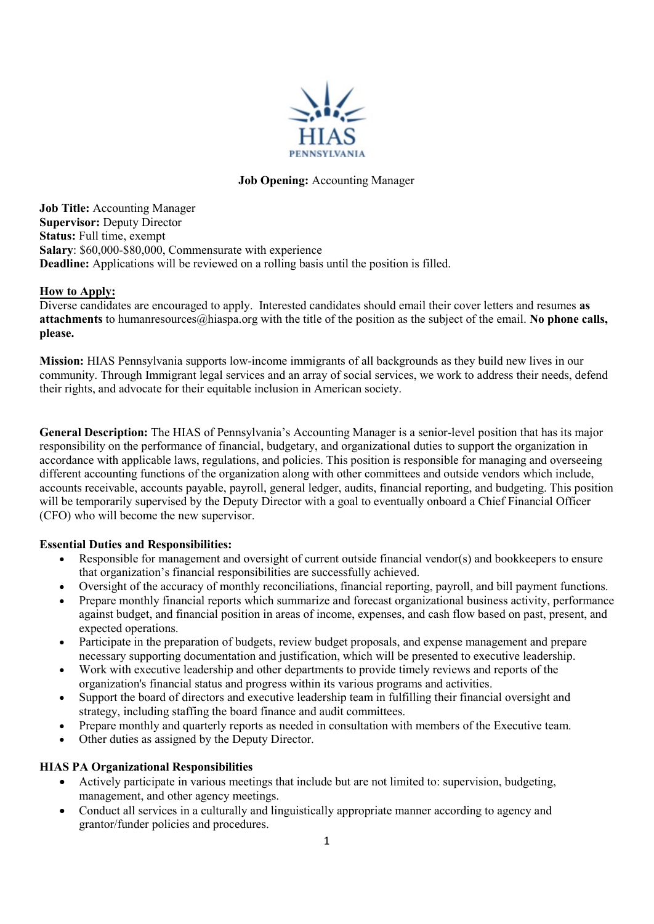

### **Job Opening:** Accounting Manager

**Job Title:** Accounting Manager **Supervisor:** Deputy Director **Status:** Full time, exempt **Salary**: \$60,000-\$80,000, Commensurate with experience **Deadline:** Applications will be reviewed on a rolling basis until the position is filled.

### **How to Apply:**

Diverse candidates are encouraged to apply. Interested candidates should email their cover letters and resumes **as attachments** to humanresources@hiaspa.org with the title of the position as the subject of the email. **No phone calls, please.**

**Mission:** HIAS Pennsylvania supports low-income immigrants of all backgrounds as they build new lives in our community. Through Immigrant legal services and an array of social services, we work to address their needs, defend their rights, and advocate for their equitable inclusion in American society.

**General Description:** The HIAS of Pennsylvania's Accounting Manager is a senior-level position that has its major responsibility on the performance of financial, budgetary, and organizational duties to support the organization in accordance with applicable laws, regulations, and policies. This position is responsible for managing and overseeing different accounting functions of the organization along with other committees and outside vendors which include, accounts receivable, accounts payable, payroll, general ledger, audits, financial reporting, and budgeting. This position will be temporarily supervised by the Deputy Director with a goal to eventually onboard a Chief Financial Officer (CFO) who will become the new supervisor.

## **Essential Duties and Responsibilities:**

- Responsible for management and oversight of current outside financial vendor(s) and bookkeepers to ensure that organization's financial responsibilities are successfully achieved.
- Oversight of the accuracy of monthly reconciliations, financial reporting, payroll, and bill payment functions.
- Prepare monthly financial reports which summarize and forecast organizational business activity, performance against budget, and financial position in areas of income, expenses, and cash flow based on past, present, and expected operations.
- Participate in the preparation of budgets, review budget proposals, and expense management and prepare necessary supporting documentation and justification, which will be presented to executive leadership.
- Work with executive leadership and other departments to provide timely reviews and reports of the organization's financial status and progress within its various programs and activities.
- Support the board of directors and executive leadership team in fulfilling their financial oversight and strategy, including staffing the board finance and audit committees.
- Prepare monthly and quarterly reports as needed in consultation with members of the Executive team.
- Other duties as assigned by the Deputy Director.

## **HIAS PA Organizational Responsibilities**

- Actively participate in various meetings that include but are not limited to: supervision, budgeting, management, and other agency meetings.
- Conduct all services in a culturally and linguistically appropriate manner according to agency and grantor/funder policies and procedures.